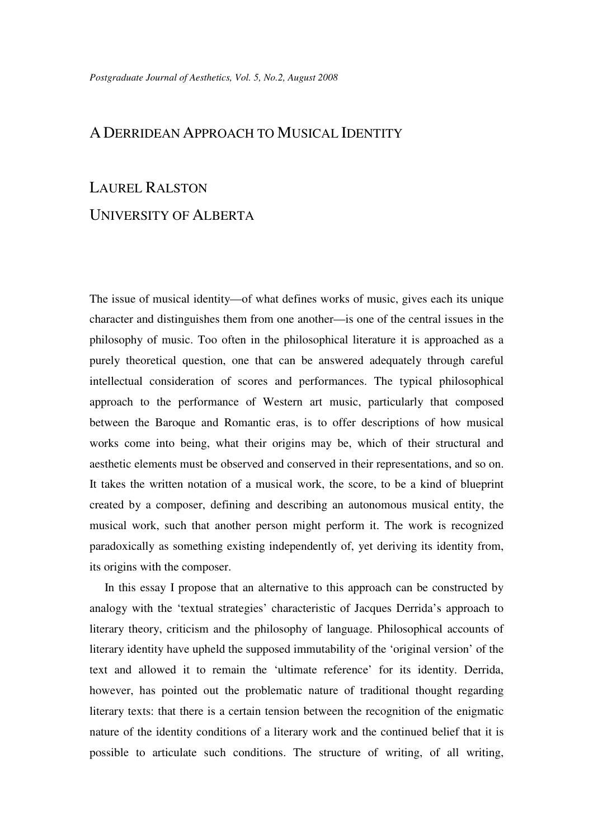## A DERRIDEAN APPROACH TO MUSICAL IDENTITY

## LAUREL RALSTON

## UNIVERSITY OF ALBERTA

The issue of musical identity—of what defines works of music, gives each its unique character and distinguishes them from one another—is one of the central issues in the philosophy of music. Too often in the philosophical literature it is approached as a purely theoretical question, one that can be answered adequately through careful intellectual consideration of scores and performances. The typical philosophical approach to the performance of Western art music, particularly that composed between the Baroque and Romantic eras, is to offer descriptions of how musical works come into being, what their origins may be, which of their structural and aesthetic elements must be observed and conserved in their representations, and so on. It takes the written notation of a musical work, the score, to be a kind of blueprint created by a composer, defining and describing an autonomous musical entity, the musical work, such that another person might perform it. The work is recognized paradoxically as something existing independently of, yet deriving its identity from, its origins with the composer.

 In this essay I propose that an alternative to this approach can be constructed by analogy with the 'textual strategies' characteristic of Jacques Derrida's approach to literary theory, criticism and the philosophy of language. Philosophical accounts of literary identity have upheld the supposed immutability of the 'original version' of the text and allowed it to remain the 'ultimate reference' for its identity. Derrida, however, has pointed out the problematic nature of traditional thought regarding literary texts: that there is a certain tension between the recognition of the enigmatic nature of the identity conditions of a literary work and the continued belief that it is possible to articulate such conditions. The structure of writing, of all writing,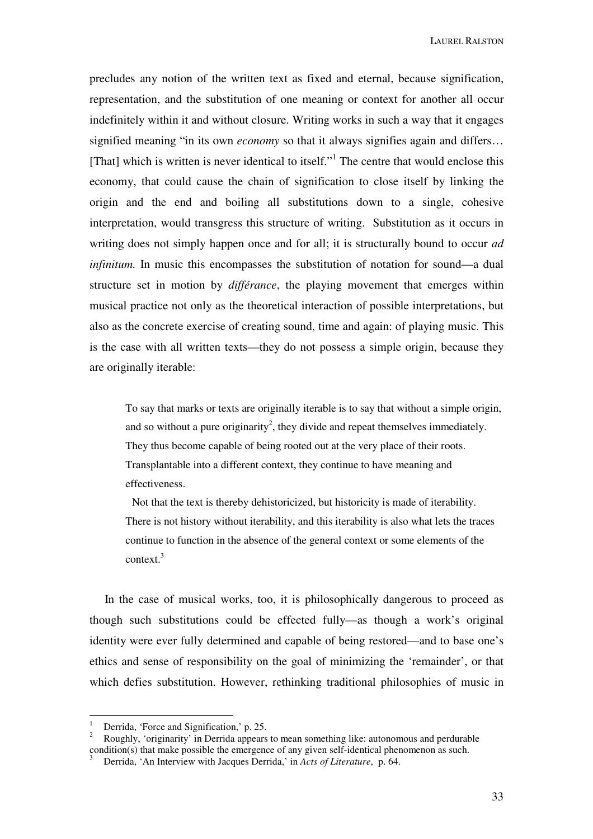precludes any notion of the written text as fixed and eternal, because signification, representation, and the substitution of one meaning or context for another all occur indefinitely within it and without closure. Writing works in such a way that it engages signified meaning "in its own *economy* so that it always signifies again and differs... [That] which is written is never identical to itself."<sup>1</sup> The centre that would enclose this economy, that could cause the chain of signification to close itself by linking the origin and the end and boiling all substitutions down to a single, cohesive interpretation, would transgress this structure of writing. Substitution as it occurs in writing does not simply happen once and for all; it is structurally bound to occur *ad infinitum.* In music this encompasses the substitution of notation for sound—a dual structure set in motion by *différance*, the playing movement that emerges within musical practice not only as the theoretical interaction of possible interpretations, but also as the concrete exercise of creating sound, time and again: of playing music. This is the case with all written texts—they do not possess a simple origin, because they are originally iterable:

To say that marks or texts are originally iterable is to say that without a simple origin, and so without a pure originarity<sup>2</sup>, they divide and repeat themselves immediately. They thus become capable of being rooted out at the very place of their roots. Transplantable into a different context, they continue to have meaning and effectiveness.

 Not that the text is thereby dehistoricized, but historicity is made of iterability. There is not history without iterability, and this iterability is also what lets the traces continue to function in the absence of the general context or some elements of the context.<sup>3</sup>

 In the case of musical works, too, it is philosophically dangerous to proceed as though such substitutions could be effected fully—as though a work's original identity were ever fully determined and capable of being restored—and to base one's ethics and sense of responsibility on the goal of minimizing the 'remainder', or that which defies substitution. However, rethinking traditional philosophies of music in

<sup>1</sup> Derrida, 'Force and Signification,' p. 25.

<sup>2</sup> Roughly, 'originarity' in Derrida appears to mean something like: autonomous and perdurable condition(s) that make possible the emergence of any given self-identical phenomenon as such.<br><sup>3</sup> Derride : An Interview with Jacques Derride ? in Acta of Literature, p. 64.

Derrida, 'An Interview with Jacques Derrida,' in *Acts of Literature*, p. 64.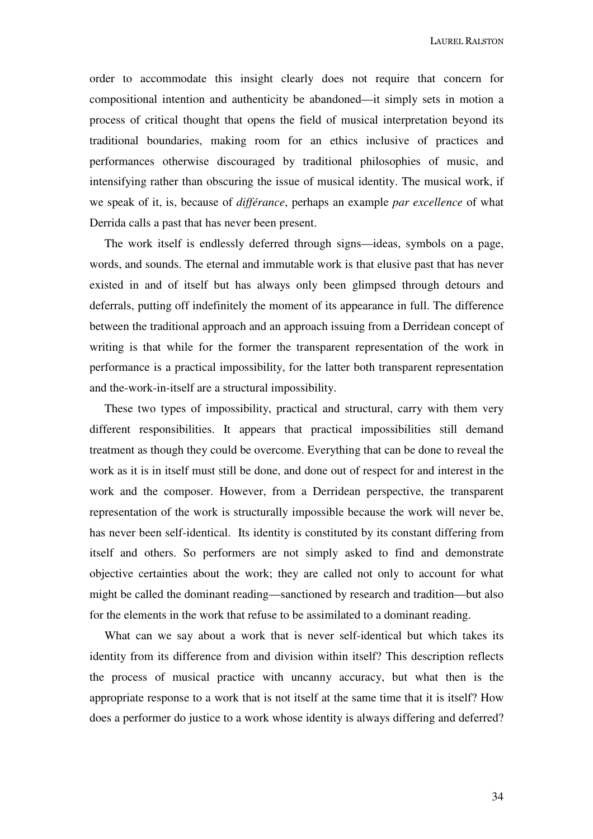order to accommodate this insight clearly does not require that concern for compositional intention and authenticity be abandoned—it simply sets in motion a process of critical thought that opens the field of musical interpretation beyond its traditional boundaries, making room for an ethics inclusive of practices and performances otherwise discouraged by traditional philosophies of music, and intensifying rather than obscuring the issue of musical identity. The musical work, if we speak of it, is, because of *différance*, perhaps an example *par excellence* of what Derrida calls a past that has never been present.

 The work itself is endlessly deferred through signs—ideas, symbols on a page, words, and sounds. The eternal and immutable work is that elusive past that has never existed in and of itself but has always only been glimpsed through detours and deferrals, putting off indefinitely the moment of its appearance in full. The difference between the traditional approach and an approach issuing from a Derridean concept of writing is that while for the former the transparent representation of the work in performance is a practical impossibility, for the latter both transparent representation and the-work-in-itself are a structural impossibility.

 These two types of impossibility, practical and structural, carry with them very different responsibilities. It appears that practical impossibilities still demand treatment as though they could be overcome. Everything that can be done to reveal the work as it is in itself must still be done, and done out of respect for and interest in the work and the composer. However, from a Derridean perspective, the transparent representation of the work is structurally impossible because the work will never be, has never been self-identical. Its identity is constituted by its constant differing from itself and others. So performers are not simply asked to find and demonstrate objective certainties about the work; they are called not only to account for what might be called the dominant reading—sanctioned by research and tradition—but also for the elements in the work that refuse to be assimilated to a dominant reading.

 What can we say about a work that is never self-identical but which takes its identity from its difference from and division within itself? This description reflects the process of musical practice with uncanny accuracy, but what then is the appropriate response to a work that is not itself at the same time that it is itself? How does a performer do justice to a work whose identity is always differing and deferred?

34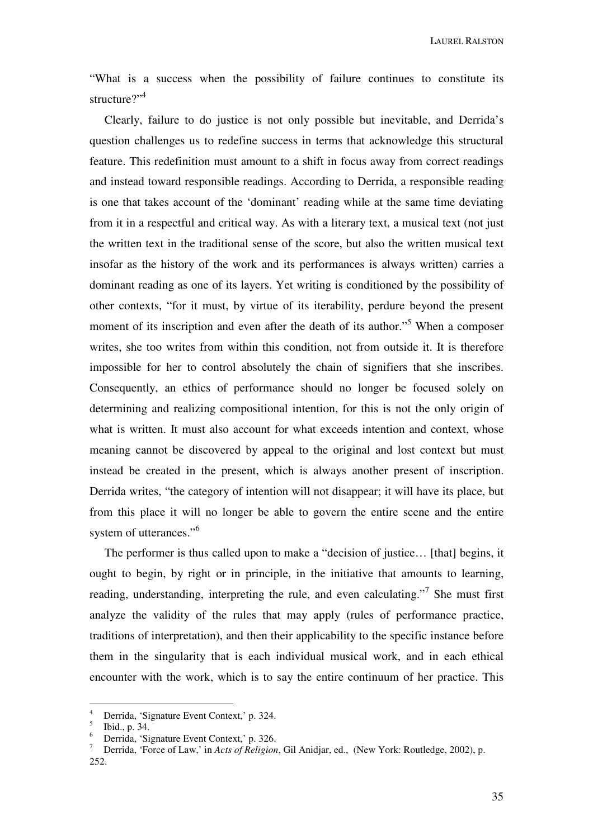"What is a success when the possibility of failure continues to constitute its structure?"<sup>4</sup>

 Clearly, failure to do justice is not only possible but inevitable, and Derrida's question challenges us to redefine success in terms that acknowledge this structural feature. This redefinition must amount to a shift in focus away from correct readings and instead toward responsible readings. According to Derrida, a responsible reading is one that takes account of the 'dominant' reading while at the same time deviating from it in a respectful and critical way. As with a literary text, a musical text (not just the written text in the traditional sense of the score, but also the written musical text insofar as the history of the work and its performances is always written) carries a dominant reading as one of its layers. Yet writing is conditioned by the possibility of other contexts, "for it must, by virtue of its iterability, perdure beyond the present moment of its inscription and even after the death of its author."<sup>5</sup> When a composer writes, she too writes from within this condition, not from outside it. It is therefore impossible for her to control absolutely the chain of signifiers that she inscribes. Consequently, an ethics of performance should no longer be focused solely on determining and realizing compositional intention, for this is not the only origin of what is written. It must also account for what exceeds intention and context, whose meaning cannot be discovered by appeal to the original and lost context but must instead be created in the present, which is always another present of inscription. Derrida writes, "the category of intention will not disappear; it will have its place, but from this place it will no longer be able to govern the entire scene and the entire system of utterances."<sup>6</sup>

The performer is thus called upon to make a "decision of justice... [that] begins, it ought to begin, by right or in principle, in the initiative that amounts to learning, reading, understanding, interpreting the rule, and even calculating."<sup>7</sup> She must first analyze the validity of the rules that may apply (rules of performance practice, traditions of interpretation), and then their applicability to the specific instance before them in the singularity that is each individual musical work, and in each ethical encounter with the work, which is to say the entire continuum of her practice. This

<sup>4</sup> Derrida, 'Signature Event Context,' p. 324.

<sup>5</sup> Ibid., p. 34.

<sup>6</sup> Derrida, 'Signature Event Context,' p. 326.

<sup>7</sup> Derrida, 'Force of Law,' in *Acts of Religion*, Gil Anidjar, ed., (New York: Routledge, 2002), p. 252.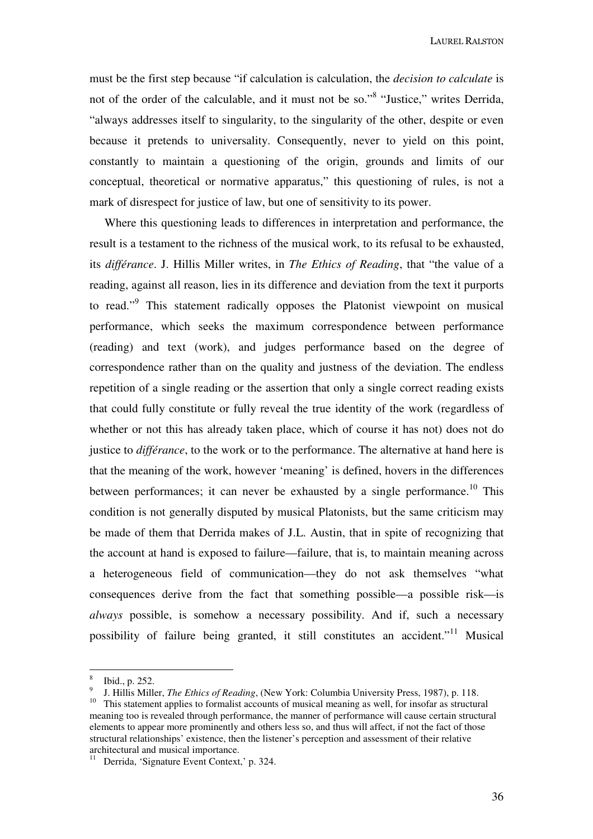must be the first step because "if calculation is calculation, the *decision to calculate* is not of the order of the calculable, and it must not be so."<sup>8</sup> "Justice," writes Derrida, "always addresses itself to singularity, to the singularity of the other, despite or even because it pretends to universality. Consequently, never to yield on this point, constantly to maintain a questioning of the origin, grounds and limits of our conceptual, theoretical or normative apparatus," this questioning of rules, is not a mark of disrespect for justice of law, but one of sensitivity to its power.

 Where this questioning leads to differences in interpretation and performance, the result is a testament to the richness of the musical work, to its refusal to be exhausted, its *différance*. J. Hillis Miller writes, in *The Ethics of Reading*, that "the value of a reading, against all reason, lies in its difference and deviation from the text it purports to read."<sup>9</sup> This statement radically opposes the Platonist viewpoint on musical performance, which seeks the maximum correspondence between performance (reading) and text (work), and judges performance based on the degree of correspondence rather than on the quality and justness of the deviation. The endless repetition of a single reading or the assertion that only a single correct reading exists that could fully constitute or fully reveal the true identity of the work (regardless of whether or not this has already taken place, which of course it has not) does not do justice to *différance*, to the work or to the performance. The alternative at hand here is that the meaning of the work, however 'meaning' is defined, hovers in the differences between performances; it can never be exhausted by a single performance.<sup>10</sup> This condition is not generally disputed by musical Platonists, but the same criticism may be made of them that Derrida makes of J.L. Austin, that in spite of recognizing that the account at hand is exposed to failure—failure, that is, to maintain meaning across a heterogeneous field of communication—they do not ask themselves "what consequences derive from the fact that something possible—a possible risk—is *always* possible, is somehow a necessary possibility. And if, such a necessary possibility of failure being granted, it still constitutes an accident."<sup>11</sup> Musical

<sup>8</sup> Ibid., p. 252.

<sup>9</sup> J. Hillis Miller, *The Ethics of Reading*, (New York: Columbia University Press, 1987), p. 118.

<sup>&</sup>lt;sup>10</sup> This statement applies to formalist accounts of musical meaning as well, for insofar as structural meaning too is revealed through performance, the manner of performance will cause certain structural elements to appear more prominently and others less so, and thus will affect, if not the fact of those structural relationships' existence, then the listener's perception and assessment of their relative architectural and musical importance.

 $\frac{11}{11}$  Derrida, 'Signature Event Context,' p. 324.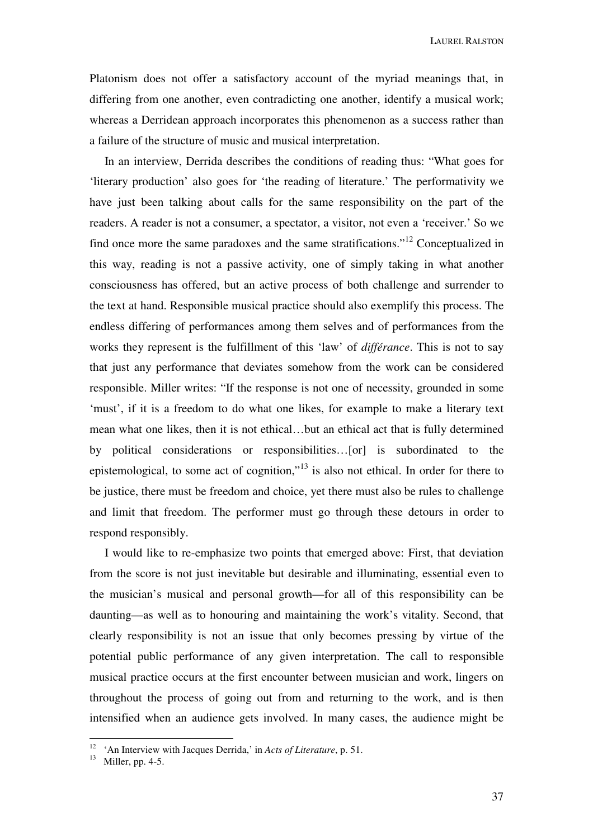Platonism does not offer a satisfactory account of the myriad meanings that, in differing from one another, even contradicting one another, identify a musical work; whereas a Derridean approach incorporates this phenomenon as a success rather than a failure of the structure of music and musical interpretation.

 In an interview, Derrida describes the conditions of reading thus: "What goes for 'literary production' also goes for 'the reading of literature.' The performativity we have just been talking about calls for the same responsibility on the part of the readers. A reader is not a consumer, a spectator, a visitor, not even a 'receiver.' So we find once more the same paradoxes and the same stratifications."<sup>12</sup> Conceptualized in this way, reading is not a passive activity, one of simply taking in what another consciousness has offered, but an active process of both challenge and surrender to the text at hand. Responsible musical practice should also exemplify this process. The endless differing of performances among them selves and of performances from the works they represent is the fulfillment of this 'law' of *différance*. This is not to say that just any performance that deviates somehow from the work can be considered responsible. Miller writes: "If the response is not one of necessity, grounded in some 'must', if it is a freedom to do what one likes, for example to make a literary text mean what one likes, then it is not ethical…but an ethical act that is fully determined by political considerations or responsibilities…[or] is subordinated to the epistemological, to some act of cognition,"<sup>13</sup> is also not ethical. In order for there to be justice, there must be freedom and choice, yet there must also be rules to challenge and limit that freedom. The performer must go through these detours in order to respond responsibly.

 I would like to re-emphasize two points that emerged above: First, that deviation from the score is not just inevitable but desirable and illuminating, essential even to the musician's musical and personal growth—for all of this responsibility can be daunting—as well as to honouring and maintaining the work's vitality. Second, that clearly responsibility is not an issue that only becomes pressing by virtue of the potential public performance of any given interpretation. The call to responsible musical practice occurs at the first encounter between musician and work, lingers on throughout the process of going out from and returning to the work, and is then intensified when an audience gets involved. In many cases, the audience might be

<sup>12</sup> 'An Interview with Jacques Derrida,' in *Acts of Literature*, p. 51.

<sup>13</sup> Miller, pp. 4-5.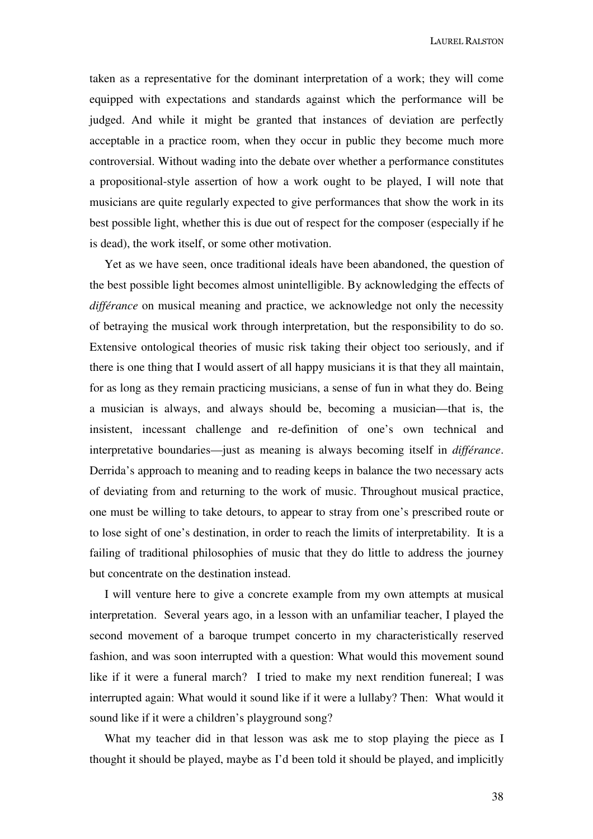taken as a representative for the dominant interpretation of a work; they will come equipped with expectations and standards against which the performance will be judged. And while it might be granted that instances of deviation are perfectly acceptable in a practice room, when they occur in public they become much more controversial. Without wading into the debate over whether a performance constitutes a propositional-style assertion of how a work ought to be played, I will note that musicians are quite regularly expected to give performances that show the work in its best possible light, whether this is due out of respect for the composer (especially if he is dead), the work itself, or some other motivation.

 Yet as we have seen, once traditional ideals have been abandoned, the question of the best possible light becomes almost unintelligible. By acknowledging the effects of *différance* on musical meaning and practice, we acknowledge not only the necessity of betraying the musical work through interpretation, but the responsibility to do so. Extensive ontological theories of music risk taking their object too seriously, and if there is one thing that I would assert of all happy musicians it is that they all maintain, for as long as they remain practicing musicians, a sense of fun in what they do. Being a musician is always, and always should be, becoming a musician—that is, the insistent, incessant challenge and re-definition of one's own technical and interpretative boundaries—just as meaning is always becoming itself in *différance*. Derrida's approach to meaning and to reading keeps in balance the two necessary acts of deviating from and returning to the work of music. Throughout musical practice, one must be willing to take detours, to appear to stray from one's prescribed route or to lose sight of one's destination, in order to reach the limits of interpretability. It is a failing of traditional philosophies of music that they do little to address the journey but concentrate on the destination instead.

 I will venture here to give a concrete example from my own attempts at musical interpretation. Several years ago, in a lesson with an unfamiliar teacher, I played the second movement of a baroque trumpet concerto in my characteristically reserved fashion, and was soon interrupted with a question: What would this movement sound like if it were a funeral march? I tried to make my next rendition funereal; I was interrupted again: What would it sound like if it were a lullaby? Then: What would it sound like if it were a children's playground song?

What my teacher did in that lesson was ask me to stop playing the piece as I thought it should be played, maybe as I'd been told it should be played, and implicitly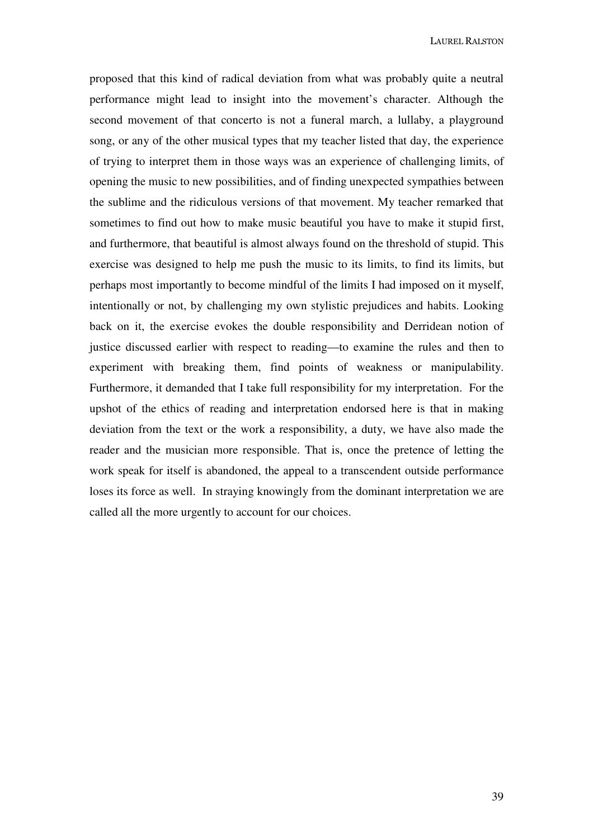proposed that this kind of radical deviation from what was probably quite a neutral performance might lead to insight into the movement's character. Although the second movement of that concerto is not a funeral march, a lullaby, a playground song, or any of the other musical types that my teacher listed that day, the experience of trying to interpret them in those ways was an experience of challenging limits, of opening the music to new possibilities, and of finding unexpected sympathies between the sublime and the ridiculous versions of that movement. My teacher remarked that sometimes to find out how to make music beautiful you have to make it stupid first, and furthermore, that beautiful is almost always found on the threshold of stupid. This exercise was designed to help me push the music to its limits, to find its limits, but perhaps most importantly to become mindful of the limits I had imposed on it myself, intentionally or not, by challenging my own stylistic prejudices and habits. Looking back on it, the exercise evokes the double responsibility and Derridean notion of justice discussed earlier with respect to reading—to examine the rules and then to experiment with breaking them, find points of weakness or manipulability. Furthermore, it demanded that I take full responsibility for my interpretation. For the upshot of the ethics of reading and interpretation endorsed here is that in making deviation from the text or the work a responsibility, a duty, we have also made the reader and the musician more responsible. That is, once the pretence of letting the work speak for itself is abandoned, the appeal to a transcendent outside performance loses its force as well. In straying knowingly from the dominant interpretation we are called all the more urgently to account for our choices.